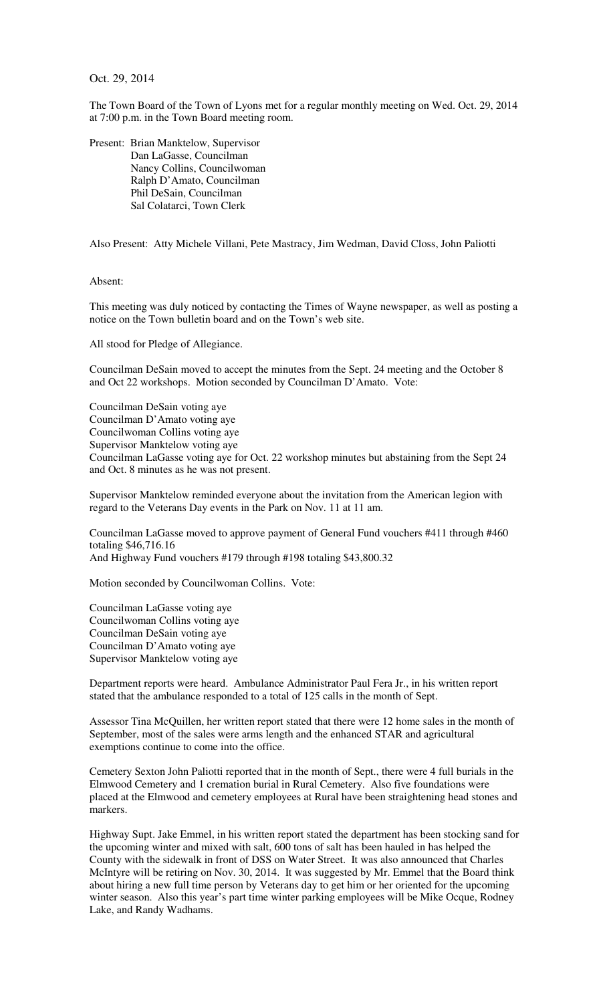Oct. 29, 2014

The Town Board of the Town of Lyons met for a regular monthly meeting on Wed. Oct. 29, 2014 at 7:00 p.m. in the Town Board meeting room.

Present: Brian Manktelow, Supervisor Dan LaGasse, Councilman Nancy Collins, Councilwoman Ralph D'Amato, Councilman Phil DeSain, Councilman Sal Colatarci, Town Clerk

Also Present: Atty Michele Villani, Pete Mastracy, Jim Wedman, David Closs, John Paliotti

Absent:

This meeting was duly noticed by contacting the Times of Wayne newspaper, as well as posting a notice on the Town bulletin board and on the Town's web site.

All stood for Pledge of Allegiance.

Councilman DeSain moved to accept the minutes from the Sept. 24 meeting and the October 8 and Oct 22 workshops. Motion seconded by Councilman D'Amato. Vote:

Councilman DeSain voting aye Councilman D'Amato voting aye Councilwoman Collins voting aye Supervisor Manktelow voting aye Councilman LaGasse voting aye for Oct. 22 workshop minutes but abstaining from the Sept 24 and Oct. 8 minutes as he was not present.

Supervisor Manktelow reminded everyone about the invitation from the American legion with regard to the Veterans Day events in the Park on Nov. 11 at 11 am.

Councilman LaGasse moved to approve payment of General Fund vouchers #411 through #460 totaling \$46,716.16 And Highway Fund vouchers #179 through #198 totaling \$43,800.32

Motion seconded by Councilwoman Collins. Vote:

Councilman LaGasse voting aye Councilwoman Collins voting aye Councilman DeSain voting aye Councilman D'Amato voting aye Supervisor Manktelow voting aye

Department reports were heard. Ambulance Administrator Paul Fera Jr., in his written report stated that the ambulance responded to a total of 125 calls in the month of Sept.

Assessor Tina McQuillen, her written report stated that there were 12 home sales in the month of September, most of the sales were arms length and the enhanced STAR and agricultural exemptions continue to come into the office.

Cemetery Sexton John Paliotti reported that in the month of Sept., there were 4 full burials in the Elmwood Cemetery and 1 cremation burial in Rural Cemetery. Also five foundations were placed at the Elmwood and cemetery employees at Rural have been straightening head stones and markers.

Highway Supt. Jake Emmel, in his written report stated the department has been stocking sand for the upcoming winter and mixed with salt, 600 tons of salt has been hauled in has helped the County with the sidewalk in front of DSS on Water Street. It was also announced that Charles McIntyre will be retiring on Nov. 30, 2014. It was suggested by Mr. Emmel that the Board think about hiring a new full time person by Veterans day to get him or her oriented for the upcoming winter season. Also this year's part time winter parking employees will be Mike Ocque, Rodney Lake, and Randy Wadhams.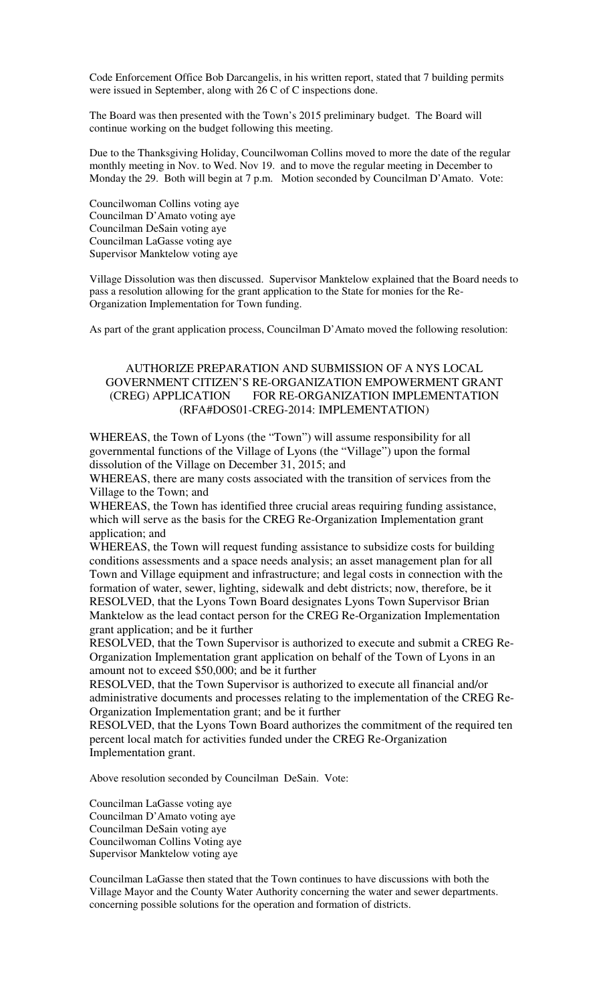Code Enforcement Office Bob Darcangelis, in his written report, stated that 7 building permits were issued in September, along with 26 C of C inspections done.

The Board was then presented with the Town's 2015 preliminary budget. The Board will continue working on the budget following this meeting.

Due to the Thanksgiving Holiday, Councilwoman Collins moved to more the date of the regular monthly meeting in Nov. to Wed. Nov 19. and to move the regular meeting in December to Monday the 29. Both will begin at 7 p.m. Motion seconded by Councilman D'Amato. Vote:

Councilwoman Collins voting aye Councilman D'Amato voting aye Councilman DeSain voting aye Councilman LaGasse voting aye Supervisor Manktelow voting aye

Village Dissolution was then discussed. Supervisor Manktelow explained that the Board needs to pass a resolution allowing for the grant application to the State for monies for the Re-Organization Implementation for Town funding.

As part of the grant application process, Councilman D'Amato moved the following resolution:

## AUTHORIZE PREPARATION AND SUBMISSION OF A NYS LOCAL GOVERNMENT CITIZEN'S RE-ORGANIZATION EMPOWERMENT GRANT (CREG) APPLICATION FOR RE-ORGANIZATION IMPLEMENTATION (RFA#DOS01-CREG-2014: IMPLEMENTATION)

WHEREAS, the Town of Lyons (the "Town") will assume responsibility for all governmental functions of the Village of Lyons (the "Village") upon the formal dissolution of the Village on December 31, 2015; and

WHEREAS, there are many costs associated with the transition of services from the Village to the Town; and

WHEREAS, the Town has identified three crucial areas requiring funding assistance, which will serve as the basis for the CREG Re-Organization Implementation grant application; and

WHEREAS, the Town will request funding assistance to subsidize costs for building conditions assessments and a space needs analysis; an asset management plan for all Town and Village equipment and infrastructure; and legal costs in connection with the formation of water, sewer, lighting, sidewalk and debt districts; now, therefore, be it RESOLVED, that the Lyons Town Board designates Lyons Town Supervisor Brian Manktelow as the lead contact person for the CREG Re-Organization Implementation grant application; and be it further

RESOLVED, that the Town Supervisor is authorized to execute and submit a CREG Re-Organization Implementation grant application on behalf of the Town of Lyons in an amount not to exceed \$50,000; and be it further

RESOLVED, that the Town Supervisor is authorized to execute all financial and/or administrative documents and processes relating to the implementation of the CREG Re-Organization Implementation grant; and be it further

RESOLVED, that the Lyons Town Board authorizes the commitment of the required ten percent local match for activities funded under the CREG Re-Organization Implementation grant.

Above resolution seconded by Councilman DeSain. Vote:

Councilman LaGasse voting aye Councilman D'Amato voting aye Councilman DeSain voting aye Councilwoman Collins Voting aye Supervisor Manktelow voting aye

Councilman LaGasse then stated that the Town continues to have discussions with both the Village Mayor and the County Water Authority concerning the water and sewer departments. concerning possible solutions for the operation and formation of districts.